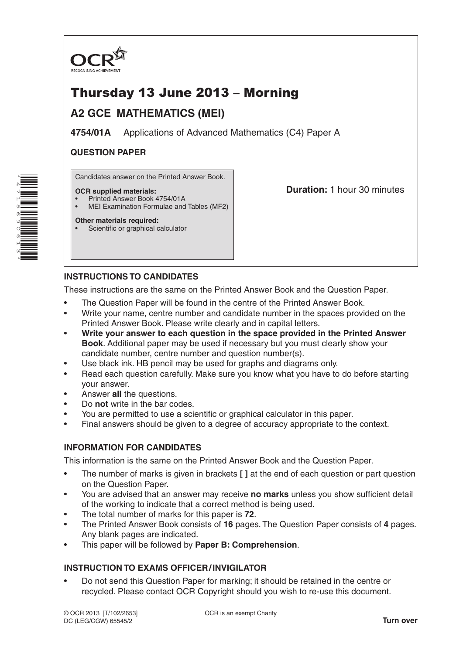

# Thursday 13 June 2013 – Morning

# **A2 GCE MATHEMATICS (MEI)**

**4754/01A** Applications of Advanced Mathematics (C4) Paper A

### **QUESTION PAPER**

Candidates answer on the Printed Answer Book.

### **OCR supplied materials:**

- Printed Answer Book 4754/01A
- MEI Examination Formulae and Tables (MF2)

**Duration:** 1 hour 30 minutes

#### **Other materials required:** Scientific or graphical calculator

## **INSTRUCTIONS TO CANDIDATES**

These instructions are the same on the Printed Answer Book and the Question Paper.

- The Question Paper will be found in the centre of the Printed Answer Book.
- Write your name, centre number and candidate number in the spaces provided on the Printed Answer Book. Please write clearly and in capital letters.
- **Write your answer to each question in the space provided in the Printed Answer Book**. Additional paper may be used if necessary but you must clearly show your candidate number, centre number and question number(s).
- Use black ink. HB pencil may be used for graphs and diagrams only.
- Read each question carefully. Make sure you know what you have to do before starting your answer.
- Answer **all** the questions.
- Do **not** write in the bar codes.
- You are permitted to use a scientific or graphical calculator in this paper.
- Final answers should be given to a degree of accuracy appropriate to the context.

### **INFORMATION FOR CANDIDATES**

This information is the same on the Printed Answer Book and the Question Paper.

- The number of marks is given in brackets **[ ]** at the end of each question or part question on the Question Paper.
- You are advised that an answer may receive **no marks** unless you show sufficient detail of the working to indicate that a correct method is being used.
- The total number of marks for this paper is **72**.
- The Printed Answer Book consists of **16** pages. The Question Paper consists of **4** pages. Any blank pages are indicated.
- This paper will be followed by **Paper B: Comprehension**.

## **INSTRUCTION TO EXAMS OFFICER/INVIGILATOR**

• Do not send this Question Paper for marking; it should be retained in the centre or recycled. Please contact OCR Copyright should you wish to re-use this document.

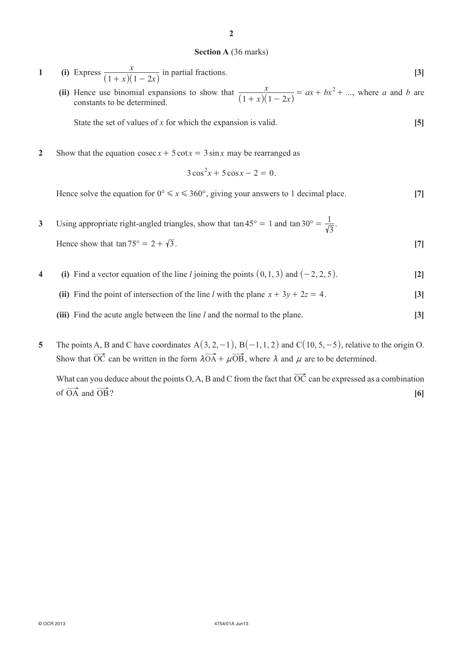#### **Section A** (36 marks)

- **1 (i)** Express *x x*  $(1 + x)(1 - 2x)$  in partial fractions. **[3]**
	- (ii) Hence use binomial expansions to show that  $\frac{x}{(1+x)(1-2x)} = ax + bx^2 + ...$  $(1 + x)(1 - 2x)$ 2 Hence use binomial expansions to show that  $\frac{x}{(1+x)(1-2x)} = ax + bx^2 + ...$ , where *a* and *b* are constants to be determined.

**State the set of values of** *x* **for which the expansion is valid.**  $[5]$ 

**2** Show that the equation  $\csc x + 5 \cot x = 3 \sin x$  may be rearranged as

$$
3\cos^2 x + 5\cos x - 2 = 0.
$$

Hence solve the equation for  $0^{\circ} \le x \le 360^{\circ}$ , giving your answers to 1 decimal place. [7]

- **3** Using appropriate right-angled triangles, show that  $\tan 45^\circ = 1$  and  $\tan 30^\circ = \frac{1}{\sqrt{3}}$ . Hence show that  $\tan 75^{\circ} = 2 + \sqrt{3}$ . [7]
- **4 (i)** Find a vector equation of the line *l* joining the points  $(0, 1, 3)$  and  $(-2, 2, 5)$ . **[2]** 
	- (ii) Find the point of intersection of the line *l* with the plane  $x + 3y + 2z = 4$ . [3]
	- **(iii)** Find the acute angle between the line *l* and the normal to the plane. **[3]**
- **5** The points A, B and C have coordinates  $A(3, 2, -1)$ ,  $B(-1, 1, 2)$  and  $C(10, 5, -5)$ , relative to the origin O. Show that  $\overrightarrow{OC}$  can be written in the form  $\overrightarrow{\lambda O A} + \mu \overrightarrow{OB}$ , where  $\lambda$  and  $\mu$  are to be determined.

What can you deduce about the points O, A, B and C from the fact that  $\overrightarrow{OC}$  can be expressed as a combination of  $\overrightarrow{OA}$  and  $\overrightarrow{OB}$ ?  $\boxed{6}$ 

**2**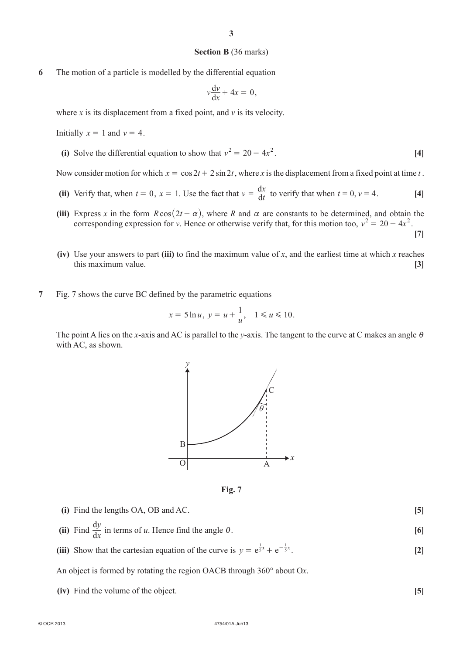#### **Section B** (36 marks)

**6** The motion of a particle is modelled by the differential equation

$$
v\frac{\mathrm{d}v}{\mathrm{d}x} + 4x = 0,
$$

where *x* is its displacement from a fixed point, and *v* is its velocity.

Initially  $x = 1$  and  $y = 4$ .

(i) Solve the differential equation to show that  $v^2 = 20 - 4x^2$ . [4]

Now consider motion for which  $x = \cos 2t + 2 \sin 2t$ , where *x* is the displacement from a fixed point at time *t*.

- (ii) Verify that, when  $t = 0$ ,  $x = 1$ . Use the fact that  $v = \frac{dx}{dt}$  to verify that when  $t = 0$ ,  $v = 4$ . [4]
- (iii) Express *x* in the form  $R\cos(2t \alpha)$ , where *R* and  $\alpha$  are constants to be determined, and obtain the corresponding expression for *v*. Hence or otherwise verify that, for this motion too,  $v^2 = 20 - 4x^2$ . **[7]**
- **(iv)** Use your answers to part **(iii)** to find the maximum value of *x*, and the earliest time at which *x* reaches this maximum value. **[3]**
- **7** Fig. 7 shows the curve BC defined by the parametric equations

$$
x = 5 \ln u, y = u + \frac{1}{u}, 1 \le u \le 10.
$$

The point A lies on the *x*-axis and AC is parallel to the *y*-axis. The tangent to the curve at C makes an angle  $\theta$ with AC, as shown.



**Fig. 7**

**(i)** Find the lengths OA, OB and AC. **[5] (ii)** Find  $\frac{d}{d}$ *x*  $\frac{y}{x}$  in terms of *u*. Hence find the angle  $\theta$ . [6] (iii) Show that the cartesian equation of the curve is  $y = e^{\frac{1}{5}x} + e^{-\frac{1}{5}x}$ . [2] An object is formed by rotating the region OACB through 360° about O*x*. **(iv)** Find the volume of the object. **[5]**